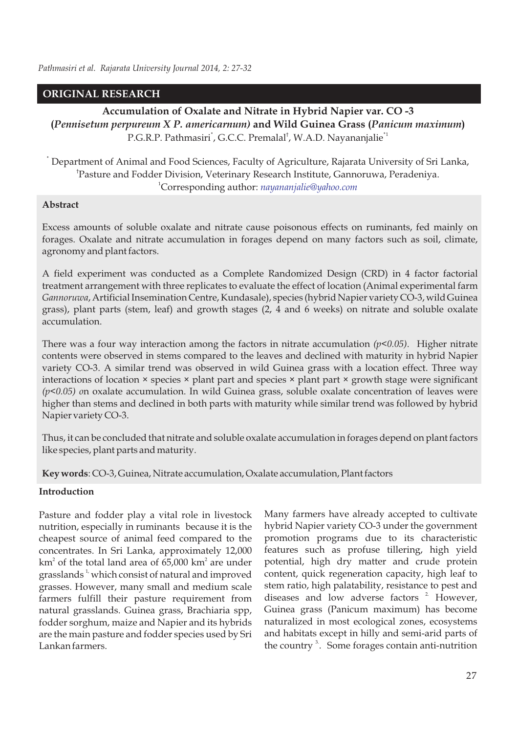# **ORIGINAL RESEARCH**

**Accumulation of Oxalate and Nitrate in Hybrid Napier var. CO -3 (***Pennisetum perpureum X P. americarnum)* **and Wild Guinea Grass (***Panicum maximum***)**  P.G.R.P. Pathmasiri<sup>\*</sup>, G.C.C. Premalal<sup>†</sup>, W.A.D. Nayananjalie<sup>\*1</sup>

? Department of Animal and Food Sciences, Faculty of Agriculture, Rajarata University of Sri Lanka, † Pasture and Fodder Division, Veterinary Research Institute, Gannoruwa, Peradeniya. <sup>1</sup>Corresponding author: *nayananjalie@yahoo.com*

## **Abstract**

Excess amounts of soluble oxalate and nitrate cause poisonous effects on ruminants, fed mainly on forages. Oxalate and nitrate accumulation in forages depend on many factors such as soil, climate, agronomy and plant factors.

A field experiment was conducted as a Complete Randomized Design (CRD) in 4 factor factorial treatment arrangement with three replicates to evaluate the effect of location (Animal experimental farm *Gannoruwa*, Artificial Insemination Centre, Kundasale), species (hybrid Napier variety CO-3, wild Guinea grass), plant parts (stem, leaf) and growth stages (2, 4 and 6 weeks) on nitrate and soluble oxalate accumulation.

There was a four way interaction among the factors in nitrate accumulation *(p<0.05)*. Higher nitrate contents were observed in stems compared to the leaves and declined with maturity in hybrid Napier variety CO-3. A similar trend was observed in wild Guinea grass with a location effect. Three way interactions of location × species × plant part and species × plant part × growth stage were significant *(p<0.05) o*n oxalate accumulation. In wild Guinea grass, soluble oxalate concentration of leaves were higher than stems and declined in both parts with maturity while similar trend was followed by hybrid Napier variety CO-3.

Thus, it can be concluded that nitrate and soluble oxalate accumulation in forages depend on plant factors like species, plant parts and maturity.

**Key words**: CO-3, Guinea, Nitrate accumulation, Oxalate accumulation, Plant factors

## **Introduction**

Pasture and fodder play a vital role in livestock nutrition, especially in ruminants because it is the cheapest source of animal feed compared to the concentrates. In Sri Lanka, approximately 12,000  $km<sup>2</sup>$  of the total land area of 65,000  $km<sup>2</sup>$  are under grasslands<sup> $1$ </sup> which consist of natural and improved grasses. However, many small and medium scale farmers fulfill their pasture requirement from natural grasslands. Guinea grass, Brachiaria spp, fodder sorghum, maize and Napier and its hybrids are the main pasture and fodder species used by Sri Lankan farmers.

Many farmers have already accepted to cultivate hybrid Napier variety CO-3 under the government promotion programs due to its characteristic features such as profuse tillering, high yield potential, high dry matter and crude protein content, quick regeneration capacity, high leaf to stem ratio, high palatability, resistance to pest and diseases and low adverse factors<sup>2</sup> However, Guinea grass (Panicum maximum) has become naturalized in most ecological zones, ecosystems and habitats except in hilly and semi-arid parts of the country  $3$ . Some forages contain anti-nutrition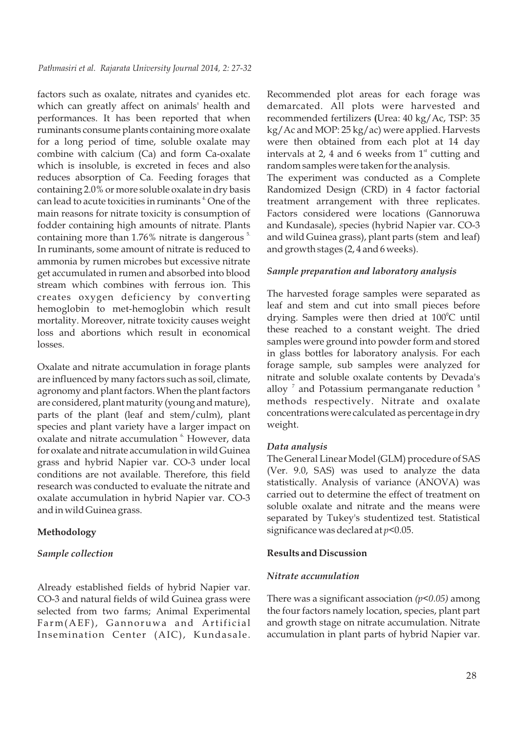factors such as oxalate, nitrates and cyanides etc. which can greatly affect on animals' health and performances. It has been reported that when ruminants consume plants containing more oxalate for a long period of time, soluble oxalate may combine with calcium (Ca) and form Ca-oxalate which is insoluble, is excreted in feces and also reduces absorption of Ca. Feeding forages that containing 2.0% or more soluble oxalate in dry basis can lead to acute toxicities in ruminants <sup>4</sup>. One of the main reasons for nitrate toxicity is consumption of fodder containing high amounts of nitrate. Plants containing more than  $1.76\%$  nitrate is dangerous  $5$ In ruminants, some amount of nitrate is reduced to ammonia by rumen microbes but excessive nitrate get accumulated in rumen and absorbed into blood stream which combines with ferrous ion. This creates oxygen deficiency by converting hemoglobin to met-hemoglobin which result mortality. Moreover, nitrate toxicity causes weight loss and abortions which result in economical losses.

Oxalate and nitrate accumulation in forage plants are influenced by many factors such as soil, climate, agronomy and plant factors. When the plant factors are considered, plant maturity (young and mature), parts of the plant (leaf and stem/culm), plant species and plant variety have a larger impact on oxalate and nitrate accumulation <sup>6</sup> However, data for oxalate and nitrate accumulation in wild Guinea grass and hybrid Napier var. CO-3 under local conditions are not available. Therefore, this field research was conducted to evaluate the nitrate and oxalate accumulation in hybrid Napier var. CO-3 and in wild Guinea grass.

## **Methodology**

### *Sample collection*

Already established fields of hybrid Napier var. CO-3 and natural fields of wild Guinea grass were selected from two farms; Animal Experimental Farm(AEF), Gannoruwa and Artificial Insemination Center (AIC), Kundasale. Recommended plot areas for each forage was demarcated. All plots were harvested and recommended fertilizers **(**Urea: 40 kg/Ac, TSP: 35 kg/Ac and MOP: 25 kg/ac) were applied. Harvests were then obtained from each plot at 14 day intervals at 2, 4 and 6 weeks from  $1<sup>st</sup>$  cutting and random samples were taken for the analysis.

The experiment was conducted as a Complete Randomized Design (CRD) in 4 factor factorial treatment arrangement with three replicates. Factors considered were locations (Gannoruwa and Kundasale), *s*pecies (hybrid Napier var. CO-3 and wild Guinea grass), plant parts (stem and leaf) and growth stages (2, 4 and 6 weeks).

### *Sample preparation and laboratory analysis*

The harvested forage samples were separated as leaf and stem and cut into small pieces before drying. Samples were then dried at 100°C until these reached to a constant weight. The dried samples were ground into powder form and stored in glass bottles for laboratory analysis. For each forage sample, sub samples were analyzed for nitrate and soluble oxalate contents by Devada's alloy  $\mathrm{^{7}}$  and Potassium permanganate reduction  $\mathrm{^{8}}$ methods respectively. Nitrate and oxalate concentrations were calculated as percentage in dry weight.

### *Data analysis*

The General Linear Model (GLM) procedure of SAS (Ver. 9.0, SAS) was used to analyze the data statistically. Analysis of variance (ANOVA) was carried out to determine the effect of treatment on soluble oxalate and nitrate and the means were separated by Tukey's studentized test. Statistical significance was declared at *p*<0.05.

### **Results and Discussion**

## *Nitrate accumulation*

There was a significant association *(p<0.05)* among the four factors namely location, species, plant part and growth stage on nitrate accumulation. Nitrate accumulation in plant parts of hybrid Napier var.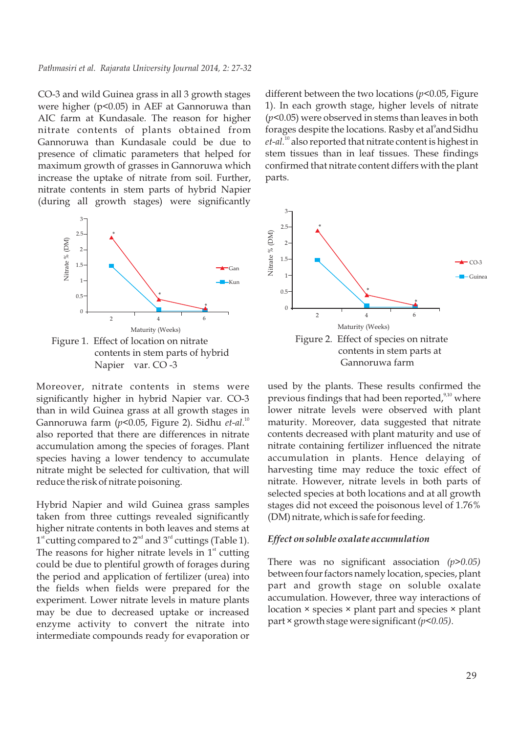#### *Pathmasiri et al. Rajarata University Journal 2014, 2: 27-32*

CO-3 and wild Guinea grass in all 3 growth stages were higher (p<0.05) in AEF at Gannoruwa than AIC farm at Kundasale*.* The reason for higher nitrate contents of plants obtained from Gannoruwa than Kundasale could be due to presence of climatic parameters that helped for maximum growth of grasses in Gannoruwa which increase the uptake of nitrate from soil. Further, nitrate contents in stem parts of hybrid Napier (during all growth stages) were significantly



Figure 1. Effect of location on nitrate contents in stem parts of hybrid Napier var. CO -3

Moreover, nitrate contents in stems were significantly higher in hybrid Napier var. CO-3 than in wild Guinea grass at all growth stages in <sup>10</sup> Gannoruwa farm (*p*<0.05, Figure 2). Sidhu *et-al*. also reported that there are differences in nitrate accumulation among the species of forages. Plant species having a lower tendency to accumulate nitrate might be selected for cultivation, that will reduce the risk of nitrate poisoning.

Hybrid Napier and wild Guinea grass samples taken from three cuttings revealed significantly higher nitrate contents in both leaves and stems at  $1<sup>st</sup>$  cutting compared to  $2<sup>nd</sup>$  and  $3<sup>rd</sup>$  cuttings (Table 1). The reasons for higher nitrate levels in  $1<sup>st</sup>$  cutting could be due to plentiful growth of forages during the period and application of fertilizer (urea) into the fields when fields were prepared for the experiment. Lower nitrate levels in mature plants may be due to decreased uptake or increased enzyme activity to convert the nitrate into intermediate compounds ready for evaporation or

different between the two locations (*p*<0.05, Figure 1). In each growth stage, higher levels of nitrate (*p*<0.05) were observed in stems than leaves in both forages despite the locations. Rasby et al<sup>9</sup> and Sidhu et-al.<sup>10</sup> also reported that nitrate content is highest in stem tissues than in leaf tissues. These findings confirmed that nitrate content differs with the plant parts.



used by the plants. These results confirmed the previous findings that had been reported, $9,10$  where lower nitrate levels were observed with plant maturity. Moreover, data suggested that nitrate contents decreased with plant maturity and use of nitrate containing fertilizer influenced the nitrate accumulation in plants. Hence delaying of harvesting time may reduce the toxic effect of nitrate. However, nitrate levels in both parts of selected species at both locations and at all growth stages did not exceed the poisonous level of 1.76% (DM) nitrate, which is safe for feeding.

#### *Effect on soluble oxalate accumulation*

There was no significant association *(p>0.05)* between four factors namely location, species, plant part and growth stage on soluble oxalate accumulation. However, three way interactions of location × species × plant part and species × plant part × growth stage were significant *(p<0.05)*.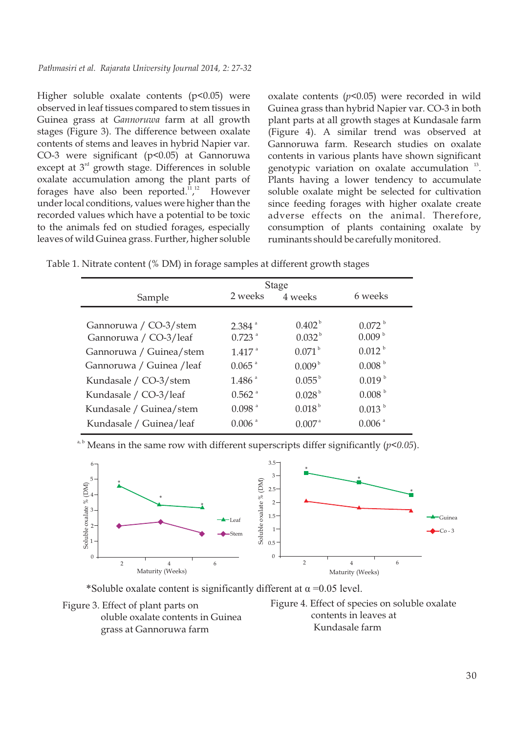Higher soluble oxalate contents (p<0.05) were observed in leaf tissues compared to stem tissues in Guinea grass at *Gannoruwa* farm at all growth stages (Figure 3). The difference between oxalate contents of stems and leaves in hybrid Napier var. CO-3 were significant (p<0.05) at Gannoruwa except at  $3<sup>rd</sup>$  growth stage. Differences in soluble oxalate accumulation among the plant parts of forages have also been reported.<sup>11,12</sup> However under local conditions, values were higher than the recorded values which have a potential to be toxic to the animals fed on studied forages, especially leaves of wild Guinea grass. Further, higher soluble

oxalate contents (*p*<0.05) were recorded in wild Guinea grass than hybrid Napier var. CO-3 in both plant parts at all growth stages at Kundasale farm (Figure 4). A similar trend was observed at Gannoruwa farm. Research studies on oxalate contents in various plants have shown significant genotypic variation on oxalate accumulation  $13$ . Plants having a lower tendency to accumulate soluble oxalate might be selected for cultivation since feeding forages with higher oxalate create adverse effects on the animal. Therefore, consumption of plants containing oxalate by ruminants should be carefully monitored.

Table 1. Nitrate content (% DM) in forage samples at different growth stages

|                           | <b>Stage</b>         |                      |                      |  |
|---------------------------|----------------------|----------------------|----------------------|--|
| Sample                    | 2 weeks              | 4 weeks              | 6 weeks              |  |
|                           |                      |                      |                      |  |
| Gannoruwa / CO-3/stem     | $2.384$ <sup>a</sup> | $0.402^{\mathrm{b}}$ | 0.072 <sup>b</sup>   |  |
| Gannoruwa / CO-3/leaf     | $0.723$ <sup>a</sup> | $0.032^{b}$          | 0.009 <sup>b</sup>   |  |
| Gannoruwa / Guinea/stem   | $1.417$ <sup>a</sup> | 0.071 <sup>b</sup>   | $0.012^{b}$          |  |
| Gannoruwa / Guinea / leaf | $0.065$ <sup>a</sup> | 0.009 <sup>b</sup>   | 0.008 <sup>b</sup>   |  |
| Kundasale / CO-3/stem     | $1.486$ <sup>a</sup> | $0.055^{\mathrm{b}}$ | 0.019 <sup>b</sup>   |  |
| Kundasale / CO-3/leaf     | $0.562$ <sup>a</sup> | 0.028 <sup>b</sup>   | 0.008 <sup>b</sup>   |  |
| Kundasale / Guinea/stem   | $0.098$ <sup>a</sup> | $0.018^{b}$          | 0.013 <sup>b</sup>   |  |
| Kundasale / Guinea/leaf   | $0.006$ <sup>a</sup> | $0.007$ <sup>a</sup> | $0.006$ <sup>a</sup> |  |

Means in the same row with different superscripts differ significantly  $(p<0.05)$ .



\*Soluble oxalate content is significantly different at  $\alpha$  =0.05 level.



Figure 4. Effect of species on soluble oxalate contents in leaves at Kundasale farm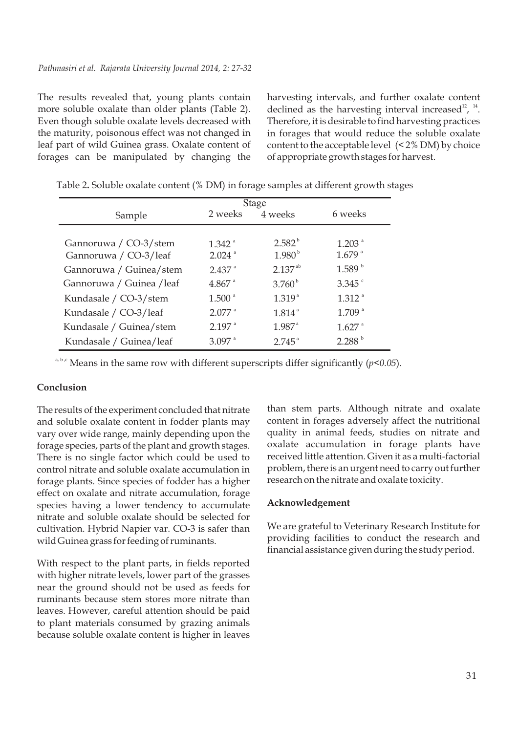The results revealed that, young plants contain more soluble oxalate than older plants (Table 2). Even though soluble oxalate levels decreased with the maturity, poisonous effect was not changed in leaf part of wild Guinea grass. Oxalate content of forages can be manipulated by changing the

harvesting intervals, and further oxalate content declined as the harvesting interval increased<sup>12</sup>, <sup>14</sup>. Therefore, it is desirable to find harvesting practices in forages that would reduce the soluble oxalate content to the acceptable level (< 2% DM) by choice of appropriate growth stages for harvest.

|                           | Stage                |                      |                      |
|---------------------------|----------------------|----------------------|----------------------|
| Sample                    | 2 weeks              | 4 weeks              | 6 weeks              |
|                           |                      |                      |                      |
| Gannoruwa / CO-3/stem     | $1.342$ <sup>a</sup> | $2.582^{b}$          | $1.203$ <sup>a</sup> |
| Gannoruwa / CO-3/leaf     | $2.024$ <sup>a</sup> | 1.980 <sup>b</sup>   | $1.679$ <sup>a</sup> |
| Gannoruwa / Guinea/stem   | $2.437$ <sup>a</sup> | $2.137^{ab}$         | 1.589 <sup>b</sup>   |
| Gannoruwa / Guinea / leaf | $4.867$ <sup>a</sup> | $3.760^{b}$          | $3.345$ $\degree$    |
| Kundasale / CO-3/stem     | 1.500 <sup>a</sup>   | $1.319^{a}$          | $1.312$ <sup>a</sup> |
| Kundasale / CO-3/leaf     | $2.077$ <sup>a</sup> | $1.814$ <sup>a</sup> | $1.709$ <sup>a</sup> |
| Kundasale / Guinea/stem   | $2.197$ <sup>a</sup> | $1.987$ <sup>a</sup> | $1.627$ <sup>a</sup> |
| Kundasale / Guinea/leaf   | $3.097$ <sup>a</sup> | $2.745^{\circ}$      | 2.288 <sup>b</sup>   |

Table 2**.** Soluble oxalate content (% DM) in forage samples at different growth stages

a, b,c Means in the same row with different superscripts differ significantly  $(p<0.05)$ .

#### **Conclusion**

The results of the experiment concluded that nitrate and soluble oxalate content in fodder plants may vary over wide range, mainly depending upon the forage species, parts of the plant and growth stages. There is no single factor which could be used to control nitrate and soluble oxalate accumulation in forage plants. Since species of fodder has a higher effect on oxalate and nitrate accumulation, forage species having a lower tendency to accumulate nitrate and soluble oxalate should be selected for cultivation. Hybrid Napier var. CO-3 is safer than wild Guinea grass for feeding of ruminants.

With respect to the plant parts, in fields reported with higher nitrate levels, lower part of the grasses near the ground should not be used as feeds for ruminants because stem stores more nitrate than leaves. However, careful attention should be paid to plant materials consumed by grazing animals because soluble oxalate content is higher in leaves than stem parts. Although nitrate and oxalate content in forages adversely affect the nutritional quality in animal feeds, studies on nitrate and oxalate accumulation in forage plants have received little attention. Given it as a multi-factorial problem, there is an urgent need to carry out further research on the nitrate and oxalate toxicity.

#### **Acknowledgement**

We are grateful to Veterinary Research Institute for providing facilities to conduct the research and financial assistance given during the study period.